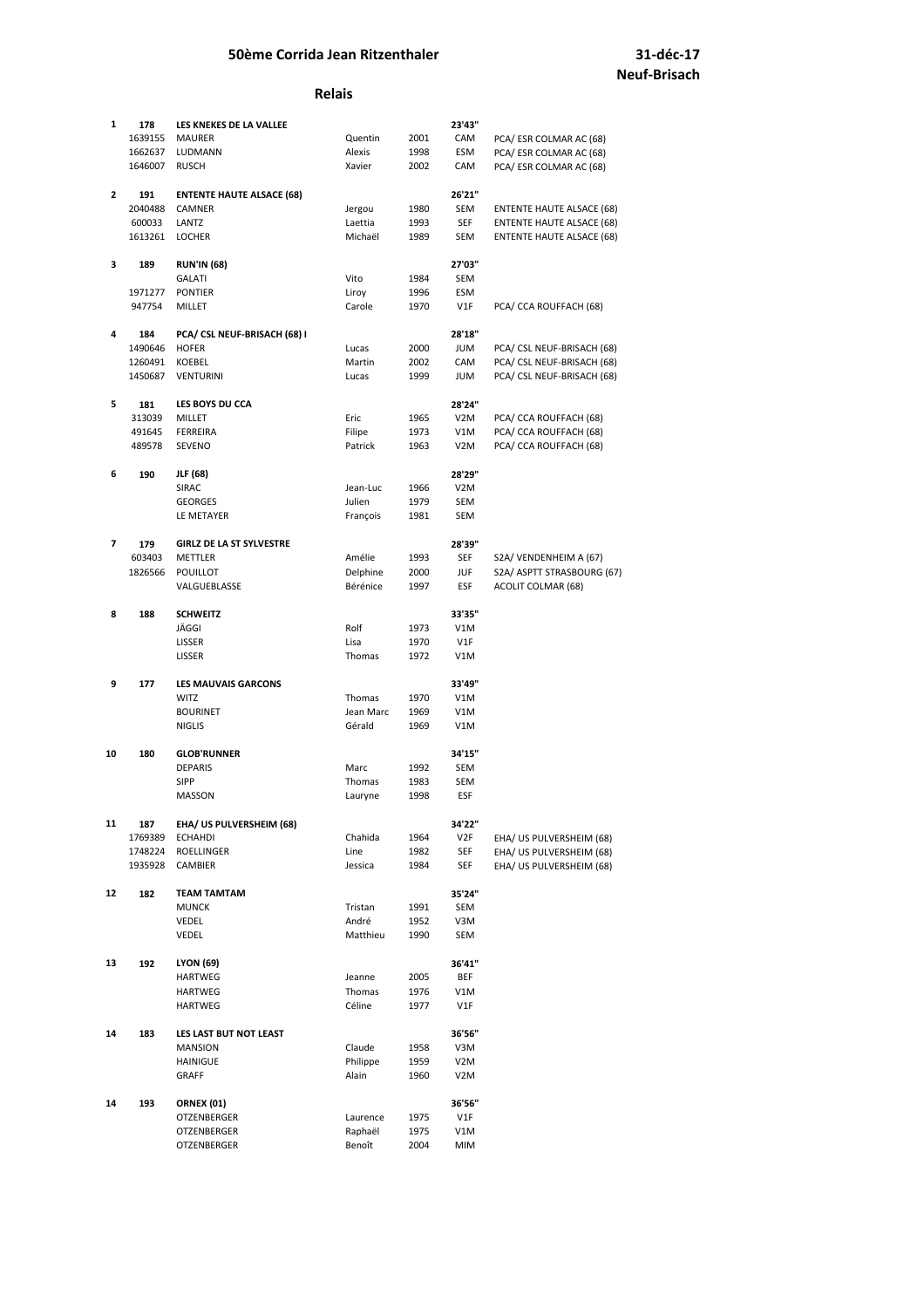#### **Relais**

| $\mathbf{1}$ | 178     | LES KNEKES DE LA VALLEE          |           |      | 23'43"           |                                  |
|--------------|---------|----------------------------------|-----------|------|------------------|----------------------------------|
|              | 1639155 | <b>MAURER</b>                    | Quentin   | 2001 | CAM              | PCA/ ESR COLMAR AC (68)          |
|              | 1662637 | LUDMANN                          | Alexis    | 1998 | ESM              | PCA/ESR COLMAR AC (68)           |
|              | 1646007 | <b>RUSCH</b>                     | Xavier    | 2002 | CAM              | PCA/ ESR COLMAR AC (68)          |
|              |         |                                  |           |      |                  |                                  |
| $\mathbf{2}$ | 191     | <b>ENTENTE HAUTE ALSACE (68)</b> |           |      | 26'21"           |                                  |
|              | 2040488 | <b>CAMNER</b>                    | Jergou    | 1980 | SEM              | <b>ENTENTE HAUTE ALSACE (68)</b> |
|              | 600033  | LANTZ                            | Laettia   | 1993 | SEF              | ENTENTE HAUTE ALSACE (68)        |
|              | 1613261 | <b>LOCHER</b>                    | Michaël   | 1989 | SEM              | <b>ENTENTE HAUTE ALSACE (68)</b> |
|              |         |                                  |           |      |                  |                                  |
| 3            | 189     | <b>RUN'IN (68)</b>               |           |      | 27'03"           |                                  |
|              |         | <b>GALATI</b>                    | Vito      | 1984 | SEM              |                                  |
|              | 1971277 | <b>PONTIER</b>                   | Liroy     | 1996 | ESM              |                                  |
|              | 947754  | <b>MILLET</b>                    | Carole    | 1970 | V1F              | PCA/ CCA ROUFFACH (68)           |
|              |         |                                  |           |      |                  |                                  |
| 4            | 184     | PCA/ CSL NEUF-BRISACH (68) I     |           |      | 28'18"           |                                  |
|              | 1490646 | <b>HOFER</b>                     | Lucas     | 2000 | <b>NUL</b>       | PCA/ CSL NEUF-BRISACH (68)       |
|              | 1260491 | <b>KOEBEL</b>                    | Martin    | 2002 | CAM              | PCA/ CSL NEUF-BRISACH (68)       |
|              | 1450687 | <b>VENTURINI</b>                 | Lucas     | 1999 | <b>NUL</b>       | PCA/ CSL NEUF-BRISACH (68)       |
|              |         |                                  |           |      |                  |                                  |
| 5            | 181     | LES BOYS DU CCA                  |           |      | 28'24"           |                                  |
|              | 313039  | <b>MILLET</b>                    | Eric      | 1965 | V2M              | PCA/ CCA ROUFFACH (68)           |
|              | 491645  | FERREIRA                         | Filipe    | 1973 | V1M              | PCA/ CCA ROUFFACH (68)           |
|              | 489578  | <b>SEVENO</b>                    | Patrick   | 1963 | V <sub>2</sub> M | PCA/ CCA ROUFFACH (68)           |
|              |         |                                  |           |      |                  |                                  |
| 6            | 190     | JLF (68)                         |           |      | 28'29"           |                                  |
|              |         | <b>SIRAC</b>                     | Jean-Luc  | 1966 | V <sub>2</sub> M |                                  |
|              |         | <b>GEORGES</b>                   | Julien    | 1979 | <b>SEM</b>       |                                  |
|              |         | LE METAYER                       | François  | 1981 | SEM              |                                  |
|              |         |                                  |           |      |                  |                                  |
| 7            | 179     | <b>GIRLZ DE LA ST SYLVESTRE</b>  |           |      | 28'39"           |                                  |
|              | 603403  | <b>METTLER</b>                   | Amélie    | 1993 | <b>SEF</b>       | S2A/ VENDENHEIM A (67)           |
|              | 1826566 | POUILLOT                         | Delphine  | 2000 | JUF              | S2A/ ASPTT STRASBOURG (67)       |
|              |         | VALGUEBLASSE                     | Bérénice  | 1997 | ESF              | <b>ACOLIT COLMAR (68)</b>        |
| 8            | 188     | <b>SCHWEITZ</b>                  |           |      | 33'35"           |                                  |
|              |         | JÄGGI                            | Rolf      | 1973 | V1M              |                                  |
|              |         | LISSER                           | Lisa      | 1970 | V1F              |                                  |
|              |         | LISSER                           | Thomas    | 1972 | V1M              |                                  |
|              |         |                                  |           |      |                  |                                  |
| 9            | 177     | <b>LES MAUVAIS GARCONS</b>       |           |      | 33'49"           |                                  |
|              |         | <b>WITZ</b>                      | Thomas    | 1970 | V1M              |                                  |
|              |         | <b>BOURINET</b>                  | Jean Marc | 1969 | V1M              |                                  |
|              |         | <b>NIGLIS</b>                    | Gérald    | 1969 | V1M              |                                  |
|              |         |                                  |           |      |                  |                                  |
| 10           | 180     | <b>GLOB'RUNNER</b>               |           |      | 34'15"           |                                  |
|              |         | <b>DEPARIS</b>                   | Marc      | 1992 | SEM              |                                  |
|              |         | <b>SIPP</b>                      | Thomas    | 1983 | SEM              |                                  |
|              |         | MASSON                           | Lauryne   | 1998 | ESF              |                                  |
|              |         |                                  |           |      |                  |                                  |
| 11           | 187     | EHA/ US PULVERSHEIM (68)         |           |      | 34'22"           |                                  |
|              | 1769389 | <b>ECHAHDI</b>                   | Chahida   | 1964 | V2F              | EHA/ US PULVERSHEIM (68)         |
|              | 1748224 | ROELLINGER                       | Line      | 1982 | SEF              | EHA/ US PULVERSHEIM (68)         |
|              | 1935928 | <b>CAMBIER</b>                   | Jessica   | 1984 | SEF              | EHA/ US PULVERSHEIM (68)         |
|              |         |                                  |           |      |                  |                                  |
| 12           | 182     | TEAM TAMTAM                      |           |      | 35'24"           |                                  |
|              |         | <b>MUNCK</b>                     | Tristan   | 1991 | SEM              |                                  |
|              |         | VEDEL                            | André     | 1952 | V3M              |                                  |
|              |         | VEDEL                            | Matthieu  | 1990 | SEM              |                                  |
|              |         |                                  |           |      |                  |                                  |
| 13           | 192     | <b>LYON (69)</b>                 |           |      | 36'41"           |                                  |
|              |         | HARTWEG                          | Jeanne    | 2005 | <b>BEF</b>       |                                  |
|              |         | <b>HARTWEG</b>                   | Thomas    | 1976 | V1M              |                                  |
|              |         | HARTWEG                          | Céline    | 1977 | V1F              |                                  |
|              |         |                                  |           |      |                  |                                  |
| 14           | 183     | LES LAST BUT NOT LEAST           |           |      | 36'56"           |                                  |
|              |         | <b>MANSION</b>                   | Claude    | 1958 | V3M              |                                  |
|              |         | <b>HAINIGUE</b>                  | Philippe  | 1959 | V2M              |                                  |
|              |         | GRAFF                            | Alain     | 1960 | V <sub>2</sub> M |                                  |
|              |         |                                  |           |      |                  |                                  |
| 14           | 193     | <b>ORNEX (01)</b>                |           |      | 36'56"           |                                  |
|              |         | OTZENBERGER                      | Laurence  | 1975 | V1F              |                                  |
|              |         | OTZENBERGER                      | Raphaël   | 1975 | V1M              |                                  |
|              |         | OTZENBERGER                      | Benoît    | 2004 | MIM              |                                  |
|              |         |                                  |           |      |                  |                                  |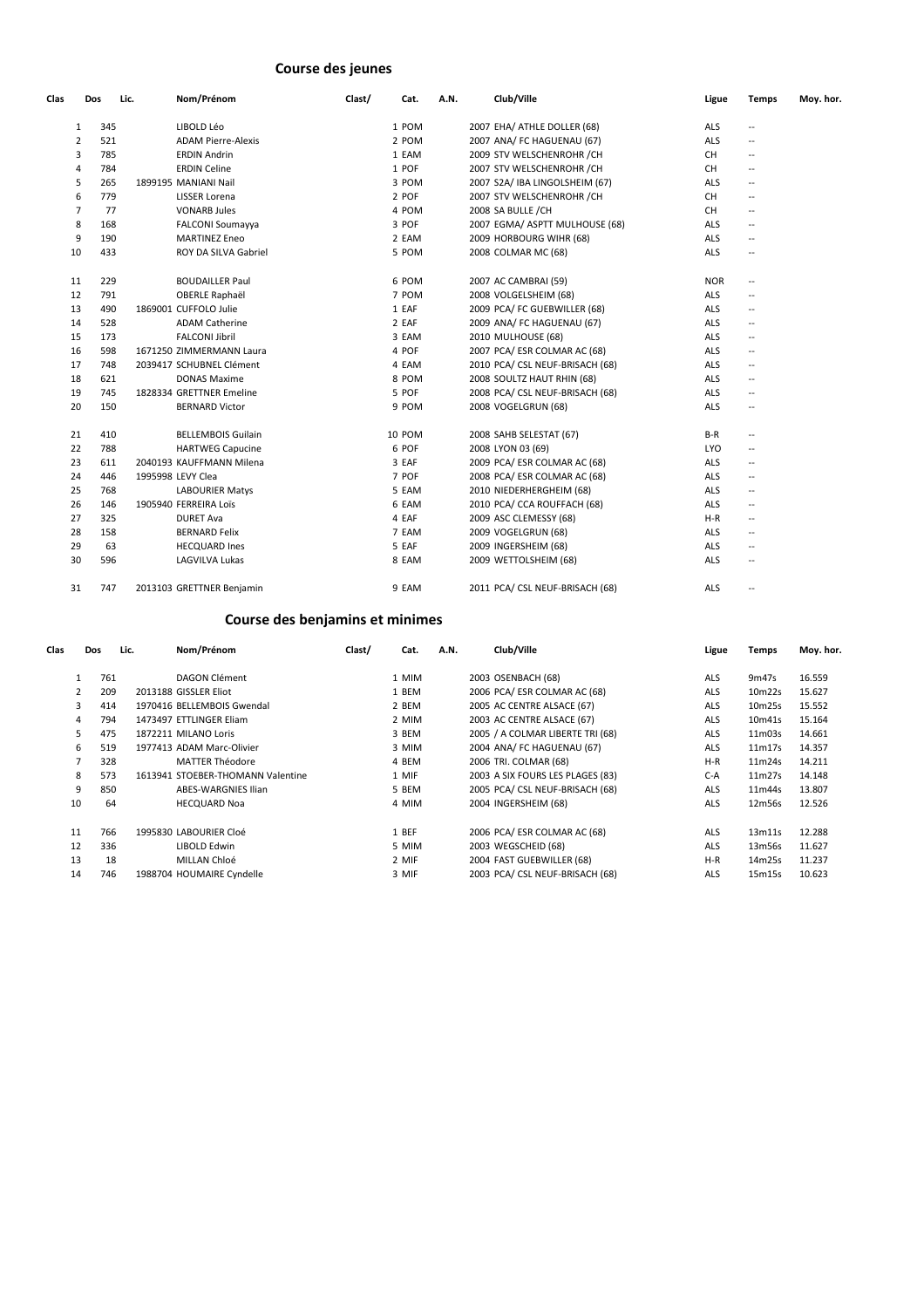# **Course des jeunes**

| Clas           | Dos | Nom/Prénom<br>Lic.        | Clast/ | Cat.   | A.N. | Club/Ville                      | Ligue      | <b>Temps</b>                                        | Moy. hor. |
|----------------|-----|---------------------------|--------|--------|------|---------------------------------|------------|-----------------------------------------------------|-----------|
| $\mathbf{1}$   | 345 | LIBOLD Léo                |        | 1 POM  |      | 2007 EHA/ ATHLE DOLLER (68)     | ALS        | $\overline{\phantom{a}}$                            |           |
| $\overline{2}$ | 521 | <b>ADAM Pierre-Alexis</b> |        | 2 POM  |      | 2007 ANA/ FC HAGUENAU (67)      | ALS        | $\overline{\phantom{a}}$                            |           |
| 3              | 785 | <b>ERDIN Andrin</b>       |        | 1 EAM  |      | 2009 STV WELSCHENROHR / CH      | <b>CH</b>  | $\overline{\phantom{a}}$                            |           |
| 4              | 784 | <b>ERDIN Celine</b>       |        | 1 POF  |      | 2007 STV WELSCHENROHR / CH      | <b>CH</b>  | $\hspace{0.05cm} -\hspace{0.05cm} -\hspace{0.05cm}$ |           |
| 5              | 265 | 1899195 MANIANI Nail      |        | 3 POM  |      | 2007 S2A/ IBA LINGOLSHEIM (67)  | ALS        | $\overline{\phantom{a}}$                            |           |
| 6              | 779 | <b>LISSER Lorena</b>      |        | 2 POF  |      | 2007 STV WELSCHENROHR / CH      | <b>CH</b>  | $\hspace{0.05cm} -\hspace{0.05cm} -\hspace{0.05cm}$ |           |
| 7              | 77  | <b>VONARB Jules</b>       |        | 4 POM  |      | 2008 SA BULLE / CH              | <b>CH</b>  | $\hspace{0.05cm} -\hspace{0.05cm} -\hspace{0.05cm}$ |           |
| 8              | 168 | <b>FALCONI Soumayya</b>   |        | 3 POF  |      | 2007 EGMA/ ASPTT MULHOUSE (68)  | ALS        | $\overline{\phantom{a}}$                            |           |
| 9              | 190 | <b>MARTINEZ Eneo</b>      |        | 2 EAM  |      | 2009 HORBOURG WIHR (68)         | ALS        | $\overline{\phantom{a}}$                            |           |
| 10             | 433 | ROY DA SILVA Gabriel      |        | 5 POM  |      | 2008 COLMAR MC (68)             | <b>ALS</b> | $\overline{\phantom{a}}$                            |           |
| 11             | 229 | <b>BOUDAILLER Paul</b>    |        | 6 POM  |      | 2007 AC CAMBRAI (59)            | <b>NOR</b> | $\overline{\phantom{a}}$                            |           |
| 12             | 791 | <b>OBERLE Raphaël</b>     |        | 7 POM  |      | 2008 VOLGELSHEIM (68)           | <b>ALS</b> | $\overline{\phantom{a}}$                            |           |
| 13             | 490 | 1869001 CUFFOLO Julie     |        | 1 EAF  |      | 2009 PCA/ FC GUEBWILLER (68)    | <b>ALS</b> | $\overline{\phantom{a}}$                            |           |
| 14             | 528 | <b>ADAM Catherine</b>     |        | 2 EAF  |      | 2009 ANA/ FC HAGUENAU (67)      | ALS        | $\overline{\phantom{a}}$                            |           |
| 15             | 173 | <b>FALCONI Jibril</b>     |        | 3 EAM  |      | 2010 MULHOUSE (68)              | ALS        | $\overline{\phantom{a}}$                            |           |
| 16             | 598 | 1671250 ZIMMERMANN Laura  |        | 4 POF  |      | 2007 PCA/ ESR COLMAR AC (68)    | ALS        | $\overline{\phantom{a}}$                            |           |
| 17             | 748 | 2039417 SCHUBNEL Clément  |        | 4 EAM  |      | 2010 PCA/ CSL NEUF-BRISACH (68) | ALS        | $\overline{\phantom{a}}$                            |           |
| 18             | 621 | <b>DONAS Maxime</b>       |        | 8 POM  |      | 2008 SOULTZ HAUT RHIN (68)      | ALS        | $\overline{\phantom{a}}$                            |           |
| 19             | 745 | 1828334 GRETTNER Emeline  |        | 5 POF  |      | 2008 PCA/ CSL NEUF-BRISACH (68) | ALS        | $\overline{\phantom{a}}$                            |           |
| 20             | 150 | <b>BERNARD Victor</b>     |        | 9 POM  |      | 2008 VOGELGRUN (68)             | ALS        | $\hspace{0.05cm} -\hspace{0.05cm} -\hspace{0.05cm}$ |           |
| 21             | 410 | <b>BELLEMBOIS Guilain</b> |        | 10 POM |      | 2008 SAHB SELESTAT (67)         | $B-R$      | $\overline{\phantom{a}}$                            |           |
| 22             | 788 | <b>HARTWEG Capucine</b>   |        | 6 POF  |      | 2008 LYON 03 (69)               | <b>LYO</b> | $\overline{\phantom{a}}$                            |           |
| 23             | 611 | 2040193 KAUFFMANN Milena  |        | 3 EAF  |      | 2009 PCA/ ESR COLMAR AC (68)    | ALS        | $\overline{\phantom{a}}$                            |           |
| 24             | 446 | 1995998 LEVY Clea         |        | 7 POF  |      | 2008 PCA/ ESR COLMAR AC (68)    | ALS        | $\overline{\phantom{a}}$                            |           |
| 25             | 768 | <b>LABOURIER Matys</b>    |        | 5 EAM  |      | 2010 NIEDERHERGHEIM (68)        | ALS        | $\overline{\phantom{a}}$                            |           |
| 26             | 146 | 1905940 FERREIRA Loïs     |        | 6 EAM  |      | 2010 PCA/ CCA ROUFFACH (68)     | <b>ALS</b> | $\overline{\phantom{a}}$                            |           |
| 27             | 325 | <b>DURET Ava</b>          |        | 4 EAF  |      | 2009 ASC CLEMESSY (68)          | $H-R$      | $\overline{\phantom{a}}$                            |           |
| 28             | 158 | <b>BERNARD Felix</b>      |        | 7 EAM  |      | 2009 VOGELGRUN (68)             | <b>ALS</b> | $\overline{\phantom{a}}$                            |           |
| 29             | 63  | <b>HECQUARD Ines</b>      |        | 5 EAF  |      | 2009 INGERSHEIM (68)            | <b>ALS</b> | $\overline{\phantom{a}}$                            |           |
| 30             | 596 | LAGVILVA Lukas            |        | 8 EAM  |      | 2009 WETTOLSHEIM (68)           | ALS        | $\hspace{0.05cm} -\hspace{0.05cm} -\hspace{0.05cm}$ |           |
| 31             | 747 | 2013103 GRETTNER Benjamin |        | 9 EAM  |      | 2011 PCA/ CSL NEUF-BRISACH (68) | ALS        | $\overline{\phantom{a}}$                            |           |

# **Course des benjamins et minimes**

| Clas |              | <b>Dos</b> | Lic. | Nom/Prénom                        | Clast/ | Cat.  | A.N. | Club/Ville                       | Ligue      | <b>Temps</b> | Moy. hor. |
|------|--------------|------------|------|-----------------------------------|--------|-------|------|----------------------------------|------------|--------------|-----------|
|      |              | 761        |      | DAGON Clément                     |        | 1 MIM |      | 2003 OSENBACH (68)               | <b>ALS</b> | 9m47s        | 16.559    |
|      | $\mathbf{2}$ | 209        |      | 2013188 GISSLER Eliot             |        | 1 BEM |      | 2006 PCA/ ESR COLMAR AC (68)     | ALS        | 10m22s       | 15.627    |
|      | 3            | 414        |      | 1970416 BELLEMBOIS Gwendal        |        | 2 BEM |      | 2005 AC CENTRE ALSACE (67)       | <b>ALS</b> | 10m25s       | 15.552    |
|      | 4            | 794        |      | 1473497 ETTLINGER Eliam           |        | 2 MIM |      | 2003 AC CENTRE ALSACE (67)       | <b>ALS</b> | 10m41s       | 15.164    |
|      | 5            | 475        |      | 1872211 MILANO Loris              |        | 3 BEM |      | 2005 / A COLMAR LIBERTE TRI (68) | <b>ALS</b> | 11m03s       | 14.661    |
|      | 6            | 519        |      | 1977413 ADAM Marc-Olivier         |        | 3 MIM |      | 2004 ANA/ FC HAGUENAU (67)       | <b>ALS</b> | 11m17s       | 14.357    |
|      |              | 328        |      | <b>MATTER Théodore</b>            |        | 4 BEM |      | 2006 TRI. COLMAR (68)            | $H-R$      | 11m24s       | 14.211    |
|      | 8            | 573        |      | 1613941 STOEBER-THOMANN Valentine |        | 1 MIF |      | 2003 A SIX FOURS LES PLAGES (83) | $C-A$      | 11m27s       | 14.148    |
|      | 9            | 850        |      | <b>ABES-WARGNIES Ilian</b>        |        | 5 BEM |      | 2005 PCA/ CSL NEUF-BRISACH (68)  | <b>ALS</b> | 11m44s       | 13.807    |
|      | 10           | 64         |      | <b>HECQUARD Noa</b>               |        | 4 MIM |      | 2004 INGERSHEIM (68)             | <b>ALS</b> | 12m56s       | 12.526    |
|      | 11           | 766        |      | 1995830 LABOURIER Cloé            |        | 1 BEF |      | 2006 PCA/ ESR COLMAR AC (68)     | <b>ALS</b> | 13m11s       | 12.288    |
|      | 12           | 336        |      | LIBOLD Edwin                      |        | 5 MIM |      | 2003 WEGSCHEID (68)              | <b>ALS</b> | 13m56s       | 11.627    |
|      | 13           | 18         |      | MILLAN Chloé                      |        | 2 MIF |      | 2004 FAST GUEBWILLER (68)        | $H-R$      | 14m25s       | 11.237    |
|      | 14           | 746        |      | 1988704 HOUMAIRE Cyndelle         |        | 3 MIF |      | 2003 PCA/ CSL NEUF-BRISACH (68)  | <b>ALS</b> | 15m15s       | 10.623    |
|      |              |            |      |                                   |        |       |      |                                  |            |              |           |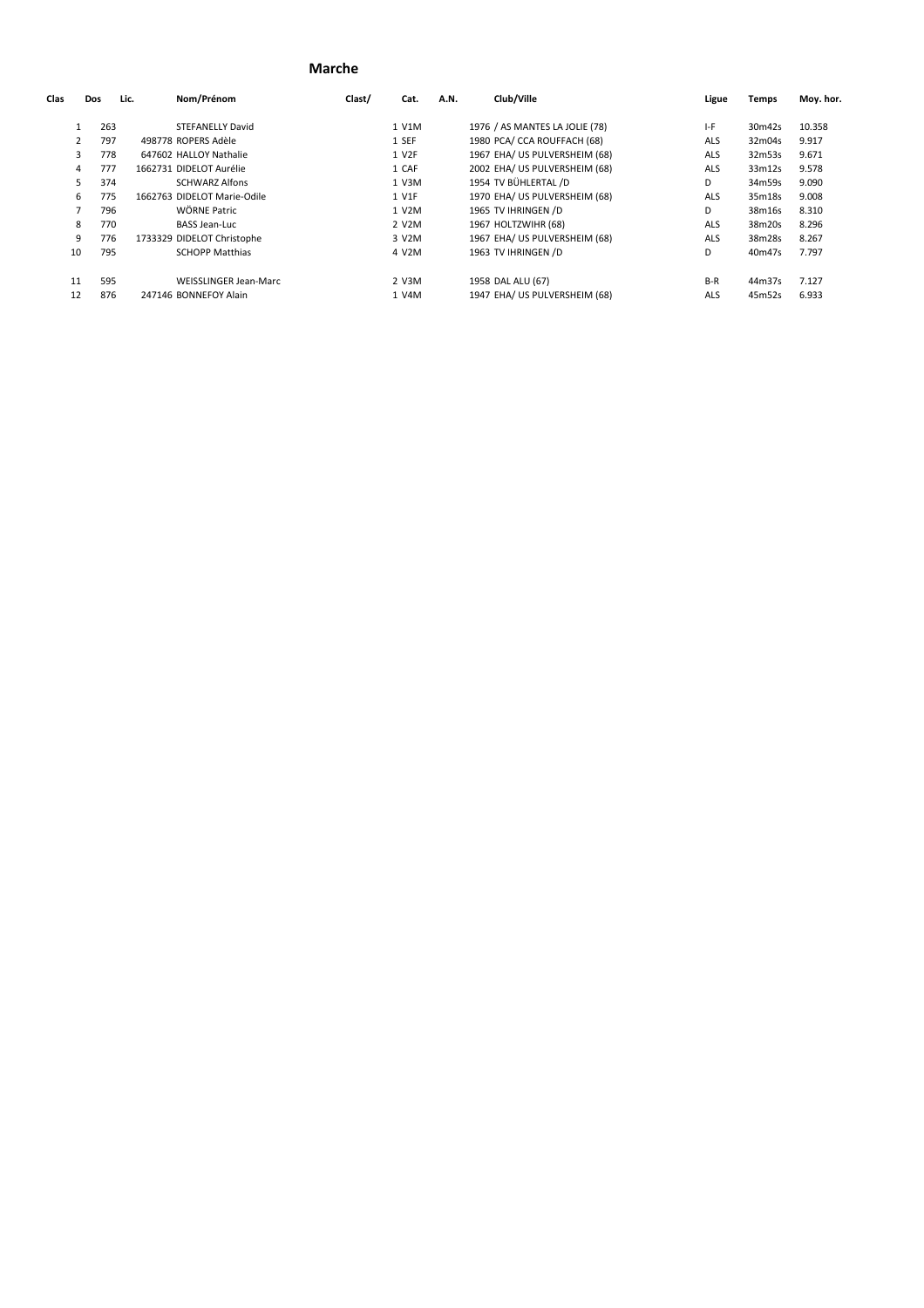#### **Marche**

| Clas | Dos       | Lic. | Nom/Prénom                   | Clast/ | Cat.              | A.N. | Club/Ville                     | Ligue      | <b>Temps</b> | Moy. hor. |
|------|-----------|------|------------------------------|--------|-------------------|------|--------------------------------|------------|--------------|-----------|
|      | 263       |      | <b>STEFANELLY David</b>      |        | 1 V1M             |      | 1976 / AS MANTES LA JOLIE (78) | I-F        | 30m42s       | 10.358    |
|      | 797<br>2  |      | 498778 ROPERS Adèle          |        | 1 SEF             |      | 1980 PCA/ CCA ROUFFACH (68)    | <b>ALS</b> | 32m04s       | 9.917     |
|      | 778<br>3  |      | 647602 HALLOY Nathalie       |        | 1 V <sub>2F</sub> |      | 1967 EHA/ US PULVERSHEIM (68)  | <b>ALS</b> | 32m53s       | 9.671     |
|      | 777<br>4  |      | 1662731 DIDELOT Aurélie      |        | 1 CAF             |      | 2002 EHA/ US PULVERSHEIM (68)  | ALS        | 33m12s       | 9.578     |
|      | 374<br>5. |      | <b>SCHWARZ Alfons</b>        |        | 1 V3M             |      | 1954 TV BÜHLERTAL /D           | D          | 34m59s       | 9.090     |
|      | 775<br>6  |      | 1662763 DIDELOT Marie-Odile  |        | 1 V1F             |      | 1970 EHA/ US PULVERSHEIM (68)  | <b>ALS</b> | 35m18s       | 9.008     |
|      | 796       |      | WÖRNE Patric                 |        | 1 V2M             |      | 1965 TV IHRINGEN /D            | D          | 38m16s       | 8.310     |
|      | 770<br>8  |      | <b>BASS Jean-Luc</b>         |        | 2 V2M             |      | 1967 HOLTZWIHR (68)            | <b>ALS</b> | 38m20s       | 8.296     |
|      | 9<br>776  |      | 1733329 DIDELOT Christophe   |        | 3 V2M             |      | 1967 EHA/ US PULVERSHEIM (68)  | <b>ALS</b> | 38m28s       | 8.267     |
| 10   | 795       |      | <b>SCHOPP Matthias</b>       |        | 4 V2M             |      | 1963 TV IHRINGEN /D            | D          | 40m47s       | 7.797     |
| 11   | 595       |      | <b>WEISSLINGER Jean-Marc</b> |        | 2 V3M             |      | 1958 DAL ALU (67)              | $B-R$      | 44m37s       | 7.127     |
| 12   | 876       |      | 247146 BONNEFOY Alain        |        | 1 V4M             |      | 1947 EHA/ US PULVERSHEIM (68)  | <b>ALS</b> | 45m52s       | 6.933     |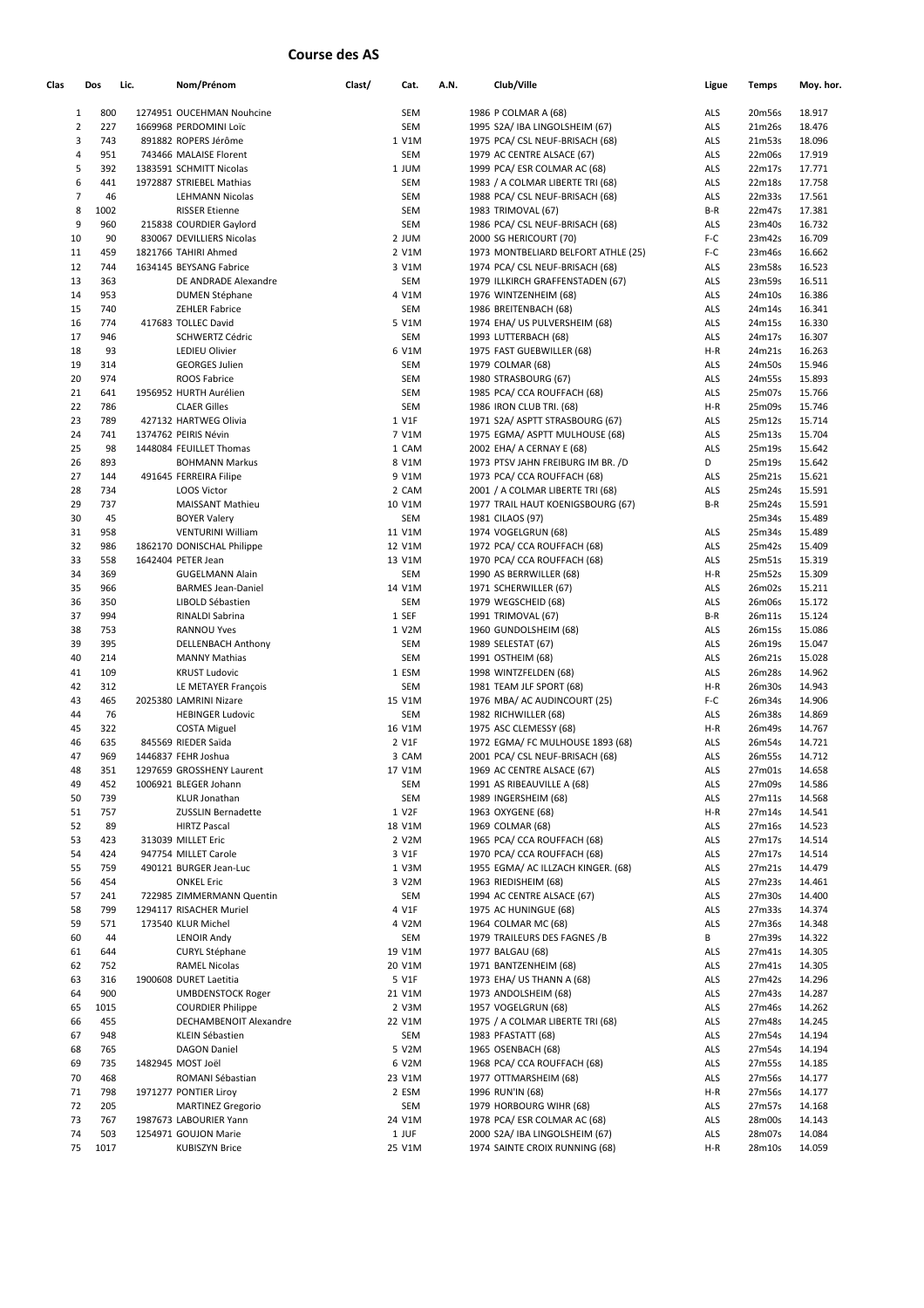# **Course des AS**

| Clas           | Dos  | Lic. | Nom/Prénom                 | Clast/ | Cat.       | A.N. | Club/Ville                          | Ligue | <b>Temps</b> | Moy. hor. |
|----------------|------|------|----------------------------|--------|------------|------|-------------------------------------|-------|--------------|-----------|
| 1              | 800  |      | 1274951 OUCEHMAN Nouhcine  |        | SEM        |      | 1986 P COLMAR A (68)                | ALS   | 20m56s       | 18.917    |
| $\overline{2}$ | 227  |      | 1669968 PERDOMINI Loïc     |        | <b>SEM</b> |      | 1995 S2A/ IBA LINGOLSHEIM (67)      | ALS   | 21m26s       | 18.476    |
| 3              | 743  |      | 891882 ROPERS Jérôme       |        | 1 V1M      |      | 1975 PCA/ CSL NEUF-BRISACH (68)     | ALS   | 21m53s       | 18.096    |
| 4              | 951  |      | 743466 MALAISE Florent     |        | SEM        |      | 1979 AC CENTRE ALSACE (67)          | ALS   | 22m06s       | 17.919    |
| 5              | 392  |      | 1383591 SCHMITT Nicolas    |        | 1 JUM      |      | 1999 PCA/ ESR COLMAR AC (68)        | ALS   | 22m17s       | 17.771    |
| 6              | 441  |      | 1972887 STRIEBEL Mathias   |        | <b>SEM</b> |      | 1983 / A COLMAR LIBERTE TRI (68)    | ALS   | 22m18s       | 17.758    |
| 7              | 46   |      | LEHMANN Nicolas            |        | SEM        |      | 1988 PCA/ CSL NEUF-BRISACH (68)     | ALS   | 22m33s       | 17.561    |
| 8              | 1002 |      | <b>RISSER Etienne</b>      |        | SEM        |      | 1983 TRIMOVAL (67)                  | B-R   | 22m47s       | 17.381    |
| 9              | 960  |      | 215838 COURDIER Gaylord    |        | <b>SEM</b> |      | 1986 PCA/ CSL NEUF-BRISACH (68)     | ALS   | 23m40s       | 16.732    |
| 10             | 90   |      | 830067 DEVILLIERS Nicolas  |        | 2 JUM      |      | 2000 SG HERICOURT (70)              | F-C   | 23m42s       | 16.709    |
| 11             | 459  |      | 1821766 TAHIRI Ahmed       |        | 2 V1M      |      | 1973 MONTBELIARD BELFORT ATHLE (25) | F-C   | 23m46s       | 16.662    |
| 12             | 744  |      | 1634145 BEYSANG Fabrice    |        | 3 V1M      |      | 1974 PCA/ CSL NEUF-BRISACH (68)     | ALS   | 23m58s       | 16.523    |
| 13             | 363  |      | DE ANDRADE Alexandre       |        | SEM        |      | 1979 ILLKIRCH GRAFFENSTADEN (67)    | ALS   | 23m59s       | 16.511    |
| 14             | 953  |      | <b>DUMEN Stéphane</b>      |        | 4 V1M      |      | 1976 WINTZENHEIM (68)               | ALS   | 24m10s       | 16.386    |
| 15             | 740  |      | <b>ZEHLER Fabrice</b>      |        | <b>SEM</b> |      | 1986 BREITENBACH (68)               | ALS   | 24m14s       | 16.341    |
| 16             | 774  |      | 417683 TOLLEC David        |        | 5 V1M      |      | 1974 EHA/ US PULVERSHEIM (68)       | ALS   | 24m15s       | 16.330    |
| 17             | 946  |      | <b>SCHWERTZ Cédric</b>     |        | SEM        |      | 1993 LUTTERBACH (68)                | ALS   | 24m17s       | 16.307    |
| 18             | 93   |      | LEDIEU Olivier             |        | 6 V1M      |      | 1975 FAST GUEBWILLER (68)           | H-R   | 24m21s       | 16.263    |
| 19             | 314  |      | <b>GEORGES Julien</b>      |        | SEM        |      | 1979 COLMAR (68)                    | ALS   | 24m50s       | 15.946    |
| 20             | 974  |      | ROOS Fabrice               |        | SEM        |      | 1980 STRASBOURG (67)                | ALS   | 24m55s       | 15.893    |
| 21             | 641  |      | 1956952 HURTH Aurélien     |        | SEM        |      | 1985 PCA/ CCA ROUFFACH (68)         | ALS   | 25m07s       | 15.766    |
|                | 786  |      |                            |        | SEM        |      |                                     |       |              |           |
| 22             |      |      | <b>CLAER Gilles</b>        |        |            |      | 1986 IRON CLUB TRI. (68)            | H-R   | 25m09s       | 15.746    |
| 23             | 789  |      | 427132 HARTWEG Olivia      |        | 1 V1F      |      | 1971 S2A/ ASPTT STRASBOURG (67)     | ALS   | 25m12s       | 15.714    |
| 24             | 741  |      | 1374762 PEIRIS Névin       |        | 7 V1M      |      | 1975 EGMA/ ASPTT MULHOUSE (68)      | ALS   | 25m13s       | 15.704    |
| 25             | 98   |      | 1448084 FEUILLET Thomas    |        | 1 CAM      |      | 2002 EHA/ A CERNAY E (68)           | ALS   | 25m19s       | 15.642    |
| 26             | 893  |      | <b>BOHMANN Markus</b>      |        | 8 V1M      |      | 1973 PTSV JAHN FREIBURG IM BR. /D   | D     | 25m19s       | 15.642    |
| 27             | 144  |      | 491645 FERREIRA Filipe     |        | 9 V1M      |      | 1973 PCA/ CCA ROUFFACH (68)         | ALS   | 25m21s       | 15.621    |
| 28             | 734  |      | <b>LOOS Victor</b>         |        | 2 CAM      |      | 2001 / A COLMAR LIBERTE TRI (68)    | ALS   | 25m24s       | 15.591    |
| 29             | 737  |      | <b>MAISSANT Mathieu</b>    |        | 10 V1M     |      | 1977 TRAIL HAUT KOENIGSBOURG (67)   | B-R   | 25m24s       | 15.591    |
| 30             | 45   |      | <b>BOYER Valery</b>        |        | SEM        |      | 1981 CILAOS (97)                    |       | 25m34s       | 15.489    |
| 31             | 958  |      | <b>VENTURINI William</b>   |        | 11 V1M     |      | 1974 VOGELGRUN (68)                 | ALS   | 25m34s       | 15.489    |
| 32             | 986  |      | 1862170 DONISCHAL Philippe |        | 12 V1M     |      | 1972 PCA/ CCA ROUFFACH (68)         | ALS   | 25m42s       | 15.409    |
| 33             | 558  |      | 1642404 PETER Jean         |        | 13 V1M     |      | 1970 PCA/ CCA ROUFFACH (68)         | ALS   | 25m51s       | 15.319    |
| 34             | 369  |      | <b>GUGELMANN Alain</b>     |        | SEM        |      | 1990 AS BERRWILLER (68)             | $H-R$ | 25m52s       | 15.309    |
| 35             | 966  |      | <b>BARMES Jean-Daniel</b>  |        | 14 V1M     |      | 1971 SCHERWILLER (67)               | ALS   | 26m02s       | 15.211    |
| 36             | 350  |      | LIBOLD Sébastien           |        | SEM        |      | 1979 WEGSCHEID (68)                 | ALS   | 26m06s       | 15.172    |
| 37             | 994  |      | RINALDI Sabrina            |        | 1 SEF      |      | 1991 TRIMOVAL (67)                  | $B-R$ | 26m11s       | 15.124    |
| 38             | 753  |      | <b>RANNOU Yves</b>         |        | 1 V2M      |      | 1960 GUNDOLSHEIM (68)               | ALS   | 26m15s       | 15.086    |
| 39             | 395  |      | <b>DELLENBACH Anthony</b>  |        | SEM        |      | 1989 SELESTAT (67)                  | ALS   | 26m19s       | 15.047    |
|                |      |      |                            |        |            |      |                                     |       |              |           |
| 40             | 214  |      | <b>MANNY Mathias</b>       |        | <b>SEM</b> |      | 1991 OSTHEIM (68)                   | ALS   | 26m21s       | 15.028    |
| 41             | 109  |      | <b>KRUST Ludovic</b>       |        | 1 ESM      |      | 1998 WINTZFELDEN (68)               | ALS   | 26m28s       | 14.962    |
| 42             | 312  |      | LE METAYER François        |        | <b>SEM</b> |      | 1981 TEAM JLF SPORT (68)            | H-R   | 26m30s       | 14.943    |
| 43             | 465  |      | 2025380 LAMRINI Nizare     |        | 15 V1M     |      | 1976 MBA/ AC AUDINCOURT (25)        | F-C   | 26m34s       | 14.906    |
| 44             | 76   |      | <b>HEBINGER Ludovic</b>    |        | SEM        |      | 1982 RICHWILLER (68)                | ALS   | 26m38s       | 14.869    |
| 45             | 322  |      | <b>COSTA Miguel</b>        |        | 16 V1M     |      | 1975 ASC CLEMESSY (68)              | H-R   | 26m49s       | 14.767    |
| 46             | 635  |      | 845569 RIEDER Saïda        |        | 2 V1F      |      | 1972 EGMA/ FC MULHOUSE 1893 (68)    | ALS   | 26m54s       | 14.721    |
| 47             | 969  |      | 1446837 FEHR Joshua        |        | 3 CAM      |      | 2001 PCA/ CSL NEUF-BRISACH (68)     | ALS   | 26m55s       | 14.712    |
| 48             | 351  |      | 1297659 GROSSHENY Laurent  |        | 17 V1M     |      | 1969 AC CENTRE ALSACE (67)          | ALS   | 27m01s       | 14.658    |
| 49             | 452  |      | 1006921 BLEGER Johann      |        | SEM        |      | 1991 AS RIBEAUVILLE A (68)          | ALS   | 27m09s       | 14.586    |
| 50             | 739  |      | <b>KLUR Jonathan</b>       |        | <b>SEM</b> |      | 1989 INGERSHEIM (68)                | ALS   | 27m11s       | 14.568    |
| 51             | 757  |      | ZUSSLIN Bernadette         |        | 1 V2F      |      | 1963 OXYGENE (68)                   | H-R   | 27m14s       | 14.541    |
| 52             | 89   |      | <b>HIRTZ Pascal</b>        |        | 18 V1M     |      | 1969 COLMAR (68)                    | ALS   | 27m16s       | 14.523    |
| 53             | 423  |      | 313039 MILLET Eric         |        | 2 V2M      |      | 1965 PCA/ CCA ROUFFACH (68)         | ALS   | 27m17s       | 14.514    |
| 54             | 424  |      | 947754 MILLET Carole       |        | 3 V1F      |      | 1970 PCA/ CCA ROUFFACH (68)         | ALS   | 27m17s       | 14.514    |
| 55             | 759  |      | 490121 BURGER Jean-Luc     |        | 1 V3M      |      | 1955 EGMA/ AC ILLZACH KINGER. (68)  | ALS   | 27m21s       | 14.479    |
| 56             | 454  |      | <b>ONKEL Eric</b>          |        | 3 V2M      |      | 1963 RIEDISHEIM (68)                | ALS   | 27m23s       | 14.461    |
| 57             | 241  |      | 722985 ZIMMERMANN Quentin  |        | SEM        |      | 1994 AC CENTRE ALSACE (67)          | ALS   | 27m30s       | 14.400    |
| 58             | 799  |      | 1294117 RISACHER Muriel    |        | 4 V1F      |      | 1975 AC HUNINGUE (68)               | ALS   | 27m33s       | 14.374    |
| 59             | 571  |      | 173540 KLUR Michel         |        | 4 V2M      |      | 1964 COLMAR MC (68)                 | ALS   | 27m36s       | 14.348    |
| 60             | 44   |      | <b>LENOIR Andy</b>         |        | SEM        |      | 1979 TRAILEURS DES FAGNES /B        | В     | 27m39s       | 14.322    |
| 61             | 644  |      | <b>CURYL Stéphane</b>      |        | 19 V1M     |      | 1977 BALGAU (68)                    | ALS   |              | 14.305    |
|                |      |      |                            |        |            |      |                                     |       | 27m41s       |           |
| 62             | 752  |      | <b>RAMEL Nicolas</b>       |        | 20 V1M     |      | 1971 BANTZENHEIM (68)               | ALS   | 27m41s       | 14.305    |
| 63             | 316  |      | 1900608 DURET Laetitia     |        | 5 V1F      |      | 1973 EHA/ US THANN A (68)           | ALS   | 27m42s       | 14.296    |
| 64             | 900  |      | <b>UMBDENSTOCK Roger</b>   |        | 21 V1M     |      | 1973 ANDOLSHEIM (68)                | ALS   | 27m43s       | 14.287    |
| 65             | 1015 |      | <b>COURDIER Philippe</b>   |        | 2 V3M      |      | 1957 VOGELGRUN (68)                 | ALS   | 27m46s       | 14.262    |
| 66             | 455  |      | DECHAMBENOIT Alexandre     |        | 22 V1M     |      | 1975 / A COLMAR LIBERTE TRI (68)    | ALS   | 27m48s       | 14.245    |
| 67             | 948  |      | <b>KLEIN Sébastien</b>     |        | SEM        |      | 1983 PFASTATT (68)                  | ALS   | 27m54s       | 14.194    |
| 68             | 765  |      | <b>DAGON Daniel</b>        |        | 5 V2M      |      | 1965 OSENBACH (68)                  | ALS   | 27m54s       | 14.194    |
| 69             | 735  |      | 1482945 MOST Joël          |        | 6 V2M      |      | 1968 PCA/ CCA ROUFFACH (68)         | ALS   | 27m55s       | 14.185    |
| 70             | 468  |      | ROMANI Sébastian           |        | 23 V1M     |      | 1977 OTTMARSHEIM (68)               | ALS   | 27m56s       | 14.177    |
| 71             | 798  |      | 1971277 PONTIER Lirov      |        | 2 ESM      |      | 1996 RUN'IN (68)                    | $H-R$ | 27m56s       | 14.177    |
| 72             | 205  |      | <b>MARTINEZ Gregorio</b>   |        | SEM        |      | 1979 HORBOURG WIHR (68)             | ALS   | 27m57s       | 14.168    |
| 73             | 767  |      | 1987673 LABOURIER Yann     |        | 24 V1M     |      | 1978 PCA/ ESR COLMAR AC (68)        | ALS   | 28m00s       | 14.143    |
| 74             | 503  |      | 1254971 GOUJON Marie       |        | 1 JUF      |      | 2000 S2A/ IBA LINGOLSHEIM (67)      | ALS   | 28m07s       | 14.084    |
| 75             | 1017 |      | <b>KUBISZYN Brice</b>      |        | 25 V1M     |      | 1974 SAINTE CROIX RUNNING (68)      | H-R   | 28m10s       | 14.059    |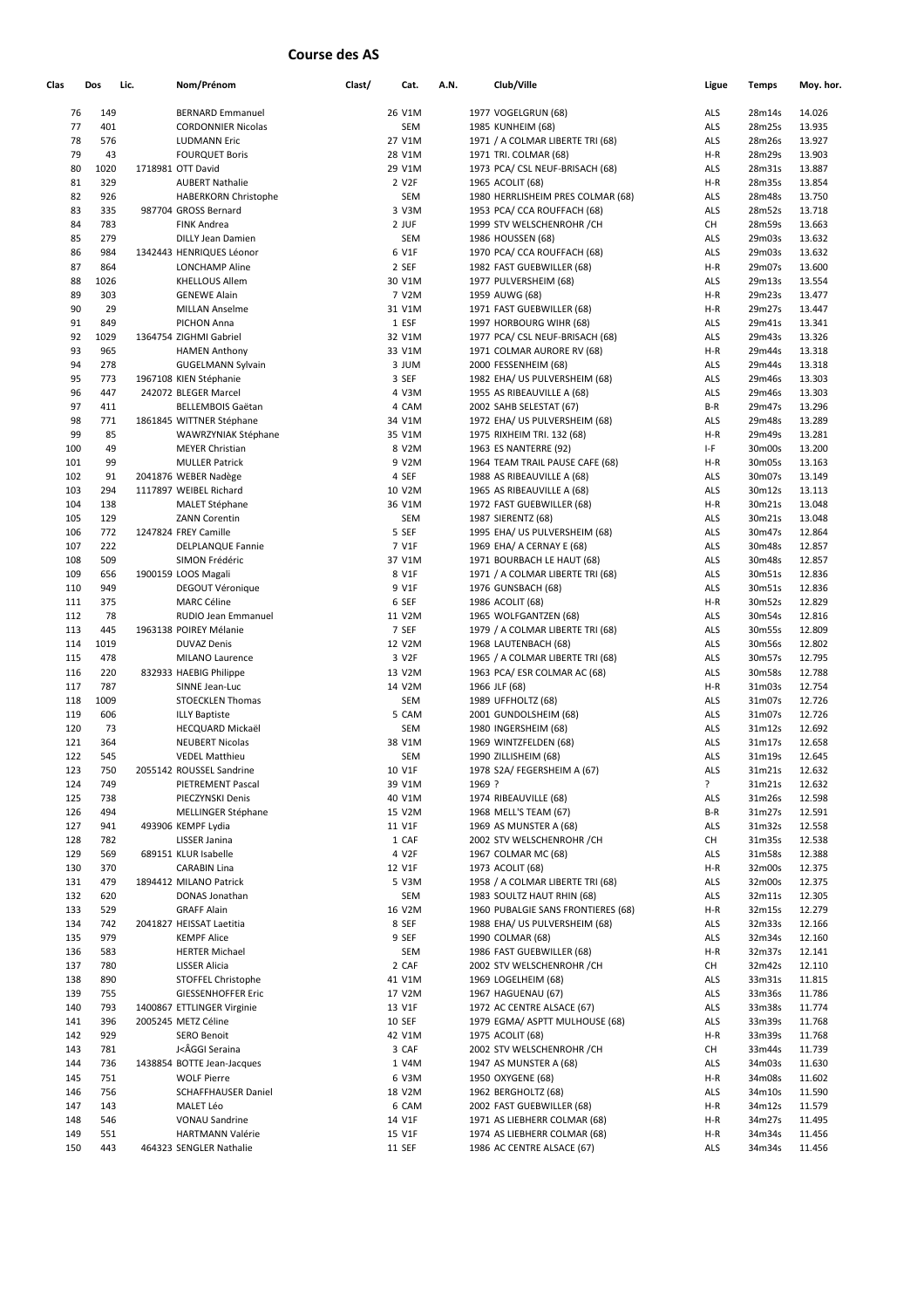## **Course des AS**

| Clas | Dos  | Lic. | Nom/Prénom                  | Clast/ | Cat.          | A.N. |        | Club/Ville                         |            | Ligue | <b>Temps</b> | Moy. hor. |
|------|------|------|-----------------------------|--------|---------------|------|--------|------------------------------------|------------|-------|--------------|-----------|
| 76   | 149  |      | <b>BERNARD Emmanuel</b>     |        | 26 V1M        |      |        | 1977 VOGELGRUN (68)                | ALS        |       | 28m14s       | 14.026    |
| 77   | 401  |      | <b>CORDONNIER Nicolas</b>   |        | SEM           |      |        | 1985 KUNHEIM (68)                  | ALS        |       | 28m25s       | 13.935    |
| 78   | 576  |      | <b>LUDMANN Eric</b>         |        | 27 V1M        |      |        | 1971 / A COLMAR LIBERTE TRI (68)   | ALS        |       | 28m26s       | 13.927    |
| 79   | 43   |      | <b>FOURQUET Boris</b>       |        | 28 V1M        |      |        | 1971 TRI. COLMAR (68)              | $H-R$      |       | 28m29s       | 13.903    |
| 80   | 1020 |      | 1718981 OTT David           |        | 29 V1M        |      |        | 1973 PCA/ CSL NEUF-BRISACH (68)    | ALS        |       | 28m31s       | 13.887    |
| 81   | 329  |      | <b>AUBERT Nathalie</b>      |        | 2 V2F         |      |        | 1965 ACOLIT (68)                   | $H-R$      |       | 28m35s       | 13.854    |
| 82   | 926  |      | <b>HABERKORN Christophe</b> |        | <b>SEM</b>    |      |        | 1980 HERRLISHEIM PRES COLMAR (68)  | ALS        |       | 28m48s       | 13.750    |
| 83   | 335  |      | 987704 GROSS Bernard        |        | 3 V3M         |      |        | 1953 PCA/ CCA ROUFFACH (68)        | ALS        |       | 28m52s       | 13.718    |
| 84   | 783  |      | <b>FINK Andrea</b>          |        | 2 JUF         |      |        | 1999 STV WELSCHENROHR / CH         | CH         |       | 28m59s       | 13.663    |
| 85   | 279  |      | <b>DILLY Jean Damien</b>    |        | SEM           |      |        | 1986 HOUSSEN (68)                  | ALS        |       | 29m03s       | 13.632    |
| 86   | 984  |      | 1342443 HENRIQUES Léonor    |        | 6 V1F         |      |        | 1970 PCA/ CCA ROUFFACH (68)        | ALS        |       | 29m03s       | 13.632    |
| 87   | 864  |      | <b>LONCHAMP Aline</b>       |        | 2 SEF         |      |        | 1982 FAST GUEBWILLER (68)          | $H-R$      |       | 29m07s       | 13.600    |
| 88   | 1026 |      | <b>KHELLOUS Allem</b>       |        | 30 V1M        |      |        | 1977 PULVERSHEIM (68)              | ALS        |       | 29m13s       | 13.554    |
| 89   | 303  |      | <b>GENEWE Alain</b>         |        | 7 V2M         |      |        | 1959 AUWG (68)                     | $H-R$      |       | 29m23s       | 13.477    |
| 90   | 29   |      | <b>MILLAN Anselme</b>       |        | 31 V1M        |      |        | 1971 FAST GUEBWILLER (68)          | $H-R$      |       | 29m27s       | 13.447    |
| 91   | 849  |      | PICHON Anna                 |        | 1 ESF         |      |        | 1997 HORBOURG WIHR (68)            | ALS        |       | 29m41s       | 13.341    |
| 92   | 1029 |      | 1364754 ZIGHMI Gabriel      |        | 32 V1M        |      |        | 1977 PCA/ CSL NEUF-BRISACH (68)    | ALS        |       | 29m43s       | 13.326    |
| 93   | 965  |      | <b>HAMEN Anthony</b>        |        | 33 V1M        |      |        | 1971 COLMAR AURORE RV (68)         | $H-R$      |       | 29m44s       | 13.318    |
| 94   | 278  |      | <b>GUGELMANN Sylvain</b>    |        | 3 JUM         |      |        | 2000 FESSENHEIM (68)               | ALS        |       | 29m44s       | 13.318    |
| 95   | 773  |      |                             |        |               |      |        |                                    |            |       | 29m46s       |           |
|      |      |      | 1967108 KIEN Stéphanie      |        | 3 SEF         |      |        | 1982 EHA/ US PULVERSHEIM (68)      | ALS        |       |              | 13.303    |
| 96   | 447  |      | 242072 BLEGER Marcel        |        | 4 V3M         |      |        | 1955 AS RIBEAUVILLE A (68)         | ALS        |       | 29m46s       | 13.303    |
| 97   | 411  |      | <b>BELLEMBOIS Gaëtan</b>    |        | 4 CAM         |      |        | 2002 SAHB SELESTAT (67)            | $B-R$      |       | 29m47s       | 13.296    |
| 98   | 771  |      | 1861845 WITTNER Stéphane    |        | 34 V1M        |      |        | 1972 EHA/ US PULVERSHEIM (68)      | ALS        |       | 29m48s       | 13.289    |
| 99   | 85   |      | WAWRZYNIAK Stéphane         |        | 35 V1M        |      |        | 1975 RIXHEIM TRI. 132 (68)         | $H-R$      |       | 29m49s       | 13.281    |
| 100  | 49   |      | <b>MEYER Christian</b>      |        | 8 V2M         |      |        | 1963 ES NANTERRE (92)              | $I-F$      |       | 30m00s       | 13.200    |
| 101  | 99   |      | <b>MULLER Patrick</b>       |        | 9 V2M         |      |        | 1964 TEAM TRAIL PAUSE CAFE (68)    | $H-R$      |       | 30m05s       | 13.163    |
| 102  | 91   |      | 2041876 WEBER Nadège        |        | 4 SEF         |      |        | 1988 AS RIBEAUVILLE A (68)         | ALS        |       | 30m07s       | 13.149    |
| 103  | 294  |      | 1117897 WEIBEL Richard      |        | 10 V2M        |      |        | 1965 AS RIBEAUVILLE A (68)         | ALS        |       | 30m12s       | 13.113    |
| 104  | 138  |      | <b>MALET Stéphane</b>       |        | 36 V1M        |      |        | 1972 FAST GUEBWILLER (68)          | $H-R$      |       | 30m21s       | 13.048    |
| 105  | 129  |      | <b>ZANN Corentin</b>        |        | SEM           |      |        | 1987 SIERENTZ (68)                 | ALS        |       | 30m21s       | 13.048    |
| 106  | 772  |      | 1247824 FREY Camille        |        | 5 SEF         |      |        | 1995 EHA/ US PULVERSHEIM (68)      | ALS        |       | 30m47s       | 12.864    |
| 107  | 222  |      | <b>DELPLANQUE Fannie</b>    |        | 7 V1F         |      |        | 1969 EHA/ A CERNAY E (68)          | ALS        |       | 30m48s       | 12.857    |
| 108  | 509  |      | SIMON Frédéric              |        | 37 V1M        |      |        | 1971 BOURBACH LE HAUT (68)         | ALS        |       | 30m48s       | 12.857    |
| 109  | 656  |      | 1900159 LOOS Magali         |        | 8 V1F         |      |        | 1971 / A COLMAR LIBERTE TRI (68)   | ALS        |       | 30m51s       | 12.836    |
| 110  | 949  |      | DEGOUT Véronique            |        | 9 V1F         |      |        | 1976 GUNSBACH (68)                 | ALS        |       | 30m51s       | 12.836    |
| 111  | 375  |      | <b>MARC Céline</b>          |        | 6 SEF         |      |        | 1986 ACOLIT (68)                   | $H-R$      |       | 30m52s       | 12.829    |
| 112  | 78   |      | RUDIO Jean Emmanuel         |        | 11 V2M        |      |        | 1965 WOLFGANTZEN (68)              | ALS        |       | 30m54s       | 12.816    |
| 113  | 445  |      | 1963138 POIREY Mélanie      |        | 7 SEF         |      |        | 1979 / A COLMAR LIBERTE TRI (68)   | ALS        |       | 30m55s       | 12.809    |
| 114  | 1019 |      | <b>DUVAZ Denis</b>          |        | 12 V2M        |      |        | 1968 LAUTENBACH (68)               | ALS        |       | 30m56s       | 12.802    |
| 115  | 478  |      | MILANO Laurence             |        | 3 V2F         |      |        | 1965 / A COLMAR LIBERTE TRI (68)   | ALS        |       | 30m57s       | 12.795    |
| 116  | 220  |      | 832933 HAEBIG Philippe      |        | 13 V2M        |      |        | 1963 PCA/ ESR COLMAR AC (68)       | ALS        |       | 30m58s       | 12.788    |
| 117  | 787  |      | SINNE Jean-Luc              |        | 14 V2M        |      |        | 1966 JLF (68)                      | $H-R$      |       | 31m03s       | 12.754    |
| 118  | 1009 |      | <b>STOECKLEN Thomas</b>     |        | SEM           |      |        | 1989 UFFHOLTZ (68)                 | ALS        |       | 31m07s       | 12.726    |
| 119  | 606  |      | <b>ILLY Baptiste</b>        |        | 5 CAM         |      |        | 2001 GUNDOLSHEIM (68)              | ALS        |       | 31m07s       | 12.726    |
| 120  | 73   |      | HECQUARD Mickaël            |        | SEM           |      |        | 1980 INGERSHEIM (68)               | ALS        |       | 31m12s       | 12.692    |
| 121  | 364  |      | <b>NEUBERT Nicolas</b>      |        | 38 V1M        |      |        | 1969 WINTZFELDEN (68)              | ALS        |       | 31m17s       | 12.658    |
| 122  | 545  |      | <b>VEDEL Matthieu</b>       |        | SEM           |      |        | 1990 ZILLISHEIM (68)               | <b>ALS</b> |       | 31m19s       | 12.645    |
| 123  | 750  |      | 2055142 ROUSSEL Sandrine    |        | 10 V1F        |      |        | 1978 S2A/ FEGERSHEIM A (67)        | ALS        |       | 31m21s       | 12.632    |
| 124  | 749  |      | PIETREMENT Pascal           |        | 39 V1M        |      | 1969 ? |                                    | ?          |       | 31m21s       | 12.632    |
| 125  | 738  |      | PIECZYNSKI Denis            |        | 40 V1M        |      |        | 1974 RIBEAUVILLE (68)              | ALS        |       | 31m26s       | 12.598    |
| 126  | 494  |      | MELLINGER Stéphane          |        | 15 V2M        |      |        | 1968 MELL'S TEAM (67)              | B-R        |       | 31m27s       | 12.591    |
| 127  | 941  |      | 493906 KEMPF Lydia          |        | 11 V1F        |      |        | 1969 AS MUNSTER A (68)             | ALS        |       | 31m32s       | 12.558    |
| 128  | 782  |      | LISSER Janina               |        | 1 CAF         |      |        | 2002 STV WELSCHENROHR / CH         | CH         |       | 31m35s       | 12.538    |
| 129  | 569  |      | 689151 KLUR Isabelle        |        | 4 V2F         |      |        | 1967 COLMAR MC (68)                | ALS        |       | 31m58s       | 12.388    |
| 130  | 370  |      | <b>CARABIN Lina</b>         |        | 12 V1F        |      |        | 1973 ACOLIT (68)                   | $H-R$      |       | 32m00s       | 12.375    |
| 131  | 479  |      | 1894412 MILANO Patrick      |        | 5 V3M         |      |        | 1958 / A COLMAR LIBERTE TRI (68)   | <b>ALS</b> |       | 32m00s       | 12.375    |
| 132  | 620  |      | DONAS Jonathan              |        | SEM           |      |        | 1983 SOULTZ HAUT RHIN (68)         | ALS        |       | 32m11s       | 12.305    |
| 133  | 529  |      | <b>GRAFF Alain</b>          |        | 16 V2M        |      |        | 1960 PUBALGIE SANS FRONTIERES (68) | $H-R$      |       | 32m15s       | 12.279    |
| 134  | 742  |      | 2041827 HEISSAT Laetitia    |        | 8 SEF         |      |        | 1988 EHA/ US PULVERSHEIM (68)      | ALS        |       | 32m33s       | 12.166    |
| 135  | 979  |      | <b>KEMPF Alice</b>          |        | 9 SEF         |      |        | 1990 COLMAR (68)                   | ALS        |       | 32m34s       | 12.160    |
| 136  | 583  |      | <b>HERTER Michael</b>       |        | SEM           |      |        | 1986 FAST GUEBWILLER (68)          | $H-R$      |       | 32m37s       | 12.141    |
| 137  | 780  |      | LISSER Alicia               |        | 2 CAF         |      |        | 2002 STV WELSCHENROHR / CH         | CH         |       | 32m42s       | 12.110    |
| 138  | 890  |      | STOFFEL Christophe          |        | 41 V1M        |      |        | 1969 LOGELHEIM (68)                | ALS        |       | 33m31s       | 11.815    |
| 139  | 755  |      | <b>GIESSENHOFFER Eric</b>   |        | 17 V2M        |      |        | 1967 HAGUENAU (67)                 | <b>ALS</b> |       | 33m36s       | 11.786    |
| 140  | 793  |      | 1400867 ETTLINGER Virginie  |        | 13 V1F        |      |        | 1972 AC CENTRE ALSACE (67)         | ALS        |       | 33m38s       | 11.774    |
| 141  | 396  |      | 2005245 METZ Céline         |        | <b>10 SEF</b> |      |        | 1979 EGMA/ ASPTT MULHOUSE (68)     | <b>ALS</b> |       | 33m39s       | 11.768    |
| 142  | 929  |      | <b>SERO Benoit</b>          |        | 42 V1M        |      |        | 1975 ACOLIT (68)                   | $H-R$      |       |              | 11.768    |
|      |      |      |                             |        | 3 CAF         |      |        |                                    |            |       | 33m39s       |           |
| 143  | 781  |      | J<ÂGGI Seraina              |        |               |      |        | 2002 STV WELSCHENROHR / CH         | CH         |       | 33m44s       | 11.739    |
| 144  | 736  |      | 1438854 BOTTE Jean-Jacques  |        | 1 V4M         |      |        | 1947 AS MUNSTER A (68)             | ALS        |       | 34m03s       | 11.630    |
| 145  | 751  |      | <b>WOLF Pierre</b>          |        | 6 V3M         |      |        | 1950 OXYGENE (68)                  | H-R        |       | 34m08s       | 11.602    |
| 146  | 756  |      | <b>SCHAFFHAUSER Daniel</b>  |        | 18 V2M        |      |        | 1962 BERGHOLTZ (68)                | ALS        |       | 34m10s       | 11.590    |
| 147  | 143  |      | MALET Léo                   |        | 6 CAM         |      |        | 2002 FAST GUEBWILLER (68)          | $H-R$      |       | 34m12s       | 11.579    |
| 148  | 546  |      | <b>VONAU Sandrine</b>       |        | 14 V1F        |      |        | 1971 AS LIEBHERR COLMAR (68)       | H-R        |       | 34m27s       | 11.495    |
| 149  | 551  |      | <b>HARTMANN Valérie</b>     |        | 15 V1F        |      |        | 1974 AS LIEBHERR COLMAR (68)       | $H-R$      |       | 34m34s       | 11.456    |
| 150  | 443  |      | 464323 SENGLER Nathalie     |        | <b>11 SEF</b> |      |        | 1986 AC CENTRE ALSACE (67)         | ALS        |       | 34m34s       | 11.456    |